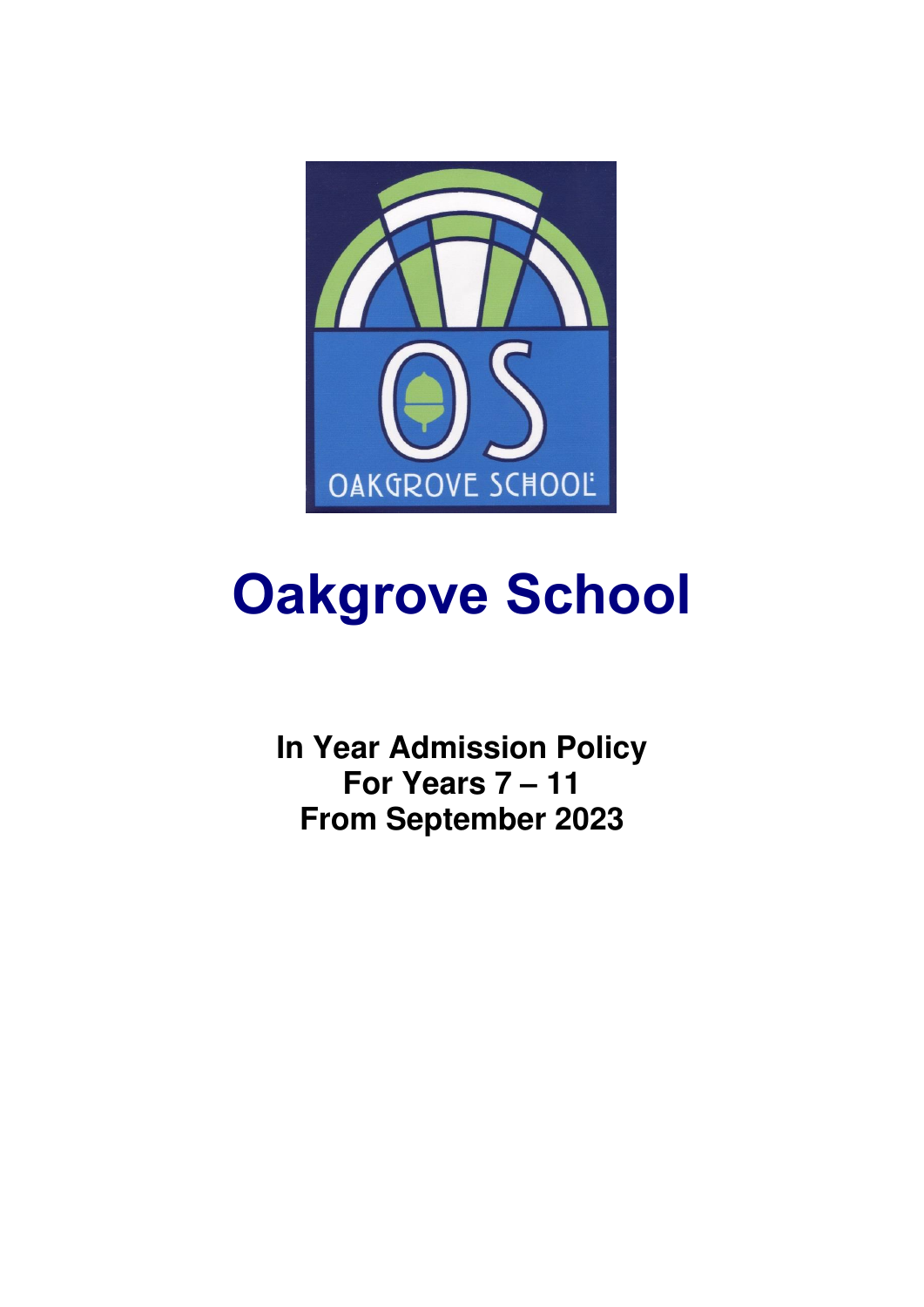

# **Oakgrove School**

**In Year Admission Policy For Years 7 – 11 From September 2023**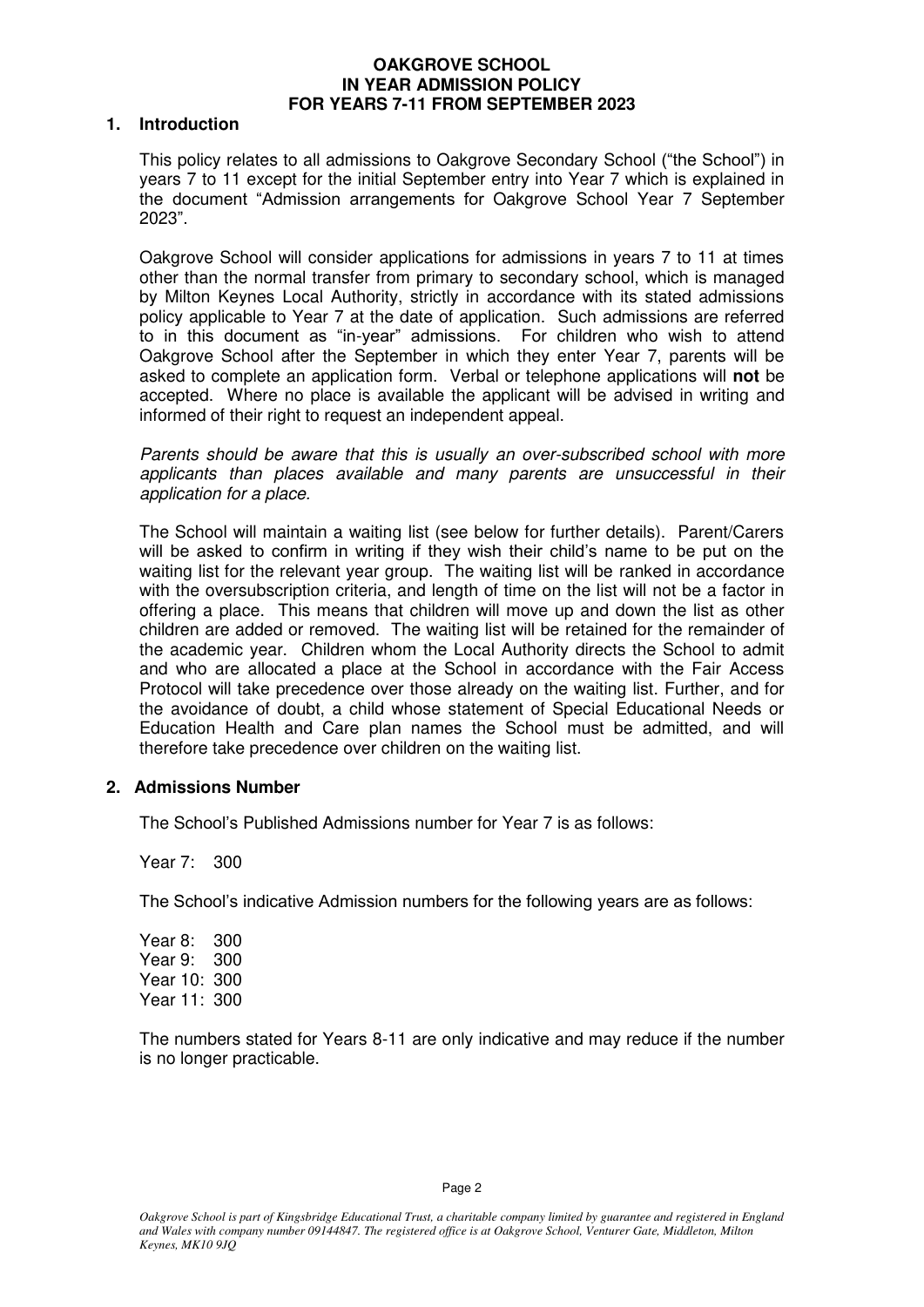#### **OAKGROVE SCHOOL IN YEAR ADMISSION POLICY FOR YEARS 7-11 FROM SEPTEMBER 2023**

#### **1. Introduction**

This policy relates to all admissions to Oakgrove Secondary School ("the School") in years 7 to 11 except for the initial September entry into Year 7 which is explained in the document "Admission arrangements for Oakgrove School Year 7 September 2023".

Oakgrove School will consider applications for admissions in years 7 to 11 at times other than the normal transfer from primary to secondary school, which is managed by Milton Keynes Local Authority, strictly in accordance with its stated admissions policy applicable to Year 7 at the date of application. Such admissions are referred to in this document as "in-year" admissions. For children who wish to attend Oakgrove School after the September in which they enter Year 7, parents will be asked to complete an application form. Verbal or telephone applications will **not** be accepted. Where no place is available the applicant will be advised in writing and informed of their right to request an independent appeal.

Parents should be aware that this is usually an over-subscribed school with more applicants than places available and many parents are unsuccessful in their application for a place.

The School will maintain a waiting list (see below for further details). Parent/Carers will be asked to confirm in writing if they wish their child's name to be put on the waiting list for the relevant year group. The waiting list will be ranked in accordance with the oversubscription criteria, and length of time on the list will not be a factor in offering a place. This means that children will move up and down the list as other children are added or removed. The waiting list will be retained for the remainder of the academic year. Children whom the Local Authority directs the School to admit and who are allocated a place at the School in accordance with the Fair Access Protocol will take precedence over those already on the waiting list. Further, and for the avoidance of doubt, a child whose statement of Special Educational Needs or Education Health and Care plan names the School must be admitted, and will therefore take precedence over children on the waiting list.

## **2. Admissions Number**

The School's Published Admissions number for Year 7 is as follows:

Year 7: 300

The School's indicative Admission numbers for the following years are as follows:

Year 8: 300 Year 9: 300 Year 10: 300 Year 11: 300

The numbers stated for Years 8-11 are only indicative and may reduce if the number is no longer practicable.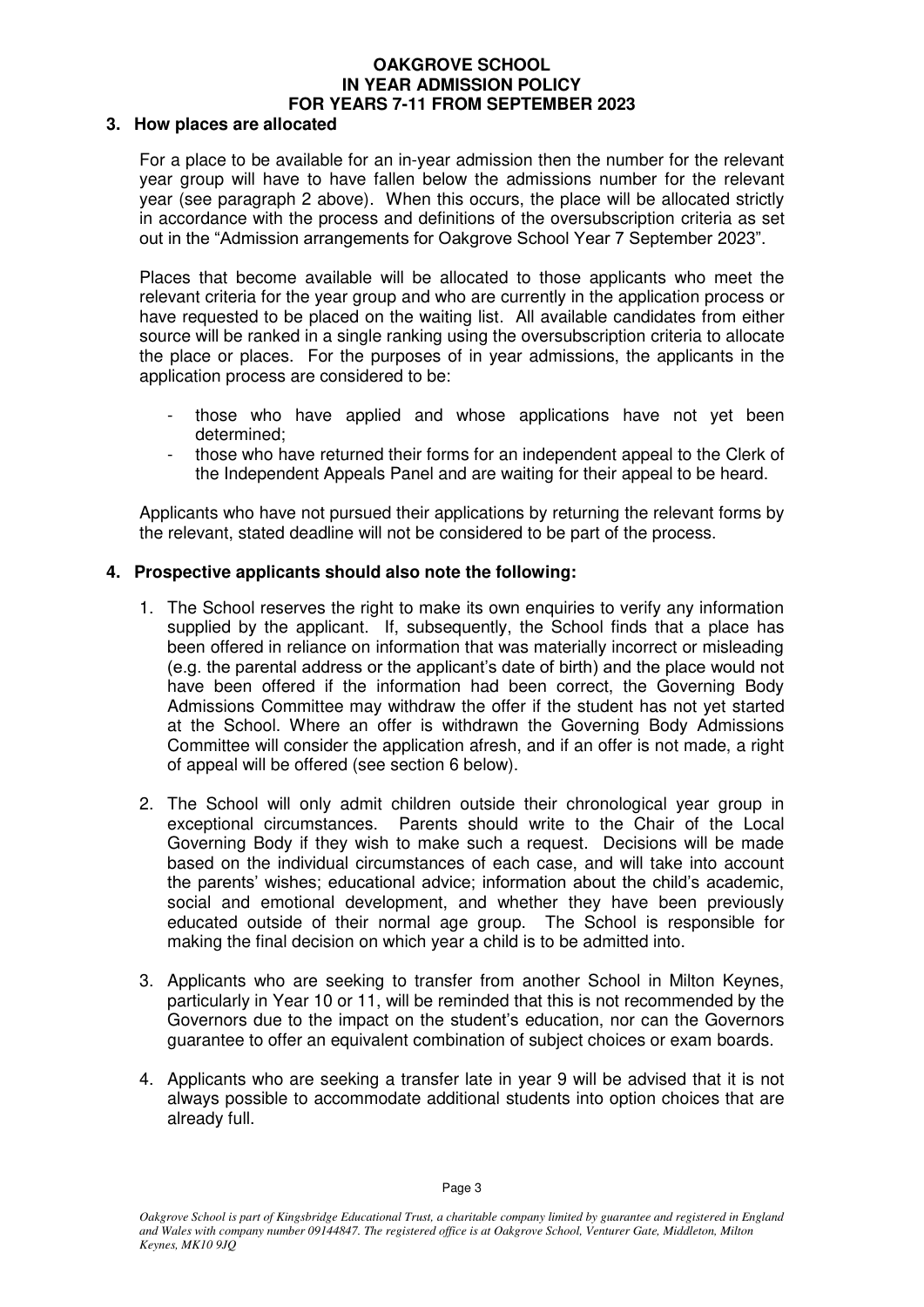# **OAKGROVE SCHOOL IN YEAR ADMISSION POLICY FOR YEARS 7-11 FROM SEPTEMBER 2023**

## **3. How places are allocated**

For a place to be available for an in-year admission then the number for the relevant year group will have to have fallen below the admissions number for the relevant year (see paragraph 2 above). When this occurs, the place will be allocated strictly in accordance with the process and definitions of the oversubscription criteria as set out in the "Admission arrangements for Oakgrove School Year 7 September 2023".

Places that become available will be allocated to those applicants who meet the relevant criteria for the year group and who are currently in the application process or have requested to be placed on the waiting list. All available candidates from either source will be ranked in a single ranking using the oversubscription criteria to allocate the place or places. For the purposes of in year admissions, the applicants in the application process are considered to be:

- those who have applied and whose applications have not yet been determined;
- those who have returned their forms for an independent appeal to the Clerk of the Independent Appeals Panel and are waiting for their appeal to be heard.

Applicants who have not pursued their applications by returning the relevant forms by the relevant, stated deadline will not be considered to be part of the process.

## **4. Prospective applicants should also note the following:**

- 1. The School reserves the right to make its own enquiries to verify any information supplied by the applicant. If, subsequently, the School finds that a place has been offered in reliance on information that was materially incorrect or misleading (e.g. the parental address or the applicant's date of birth) and the place would not have been offered if the information had been correct, the Governing Body Admissions Committee may withdraw the offer if the student has not yet started at the School. Where an offer is withdrawn the Governing Body Admissions Committee will consider the application afresh, and if an offer is not made, a right of appeal will be offered (see section 6 below).
- 2. The School will only admit children outside their chronological year group in exceptional circumstances. Parents should write to the Chair of the Local Governing Body if they wish to make such a request. Decisions will be made based on the individual circumstances of each case, and will take into account the parents' wishes; educational advice; information about the child's academic, social and emotional development, and whether they have been previously educated outside of their normal age group. The School is responsible for making the final decision on which year a child is to be admitted into.
- 3. Applicants who are seeking to transfer from another School in Milton Keynes, particularly in Year 10 or 11, will be reminded that this is not recommended by the Governors due to the impact on the student's education, nor can the Governors guarantee to offer an equivalent combination of subject choices or exam boards.
- 4. Applicants who are seeking a transfer late in year 9 will be advised that it is not always possible to accommodate additional students into option choices that are already full.